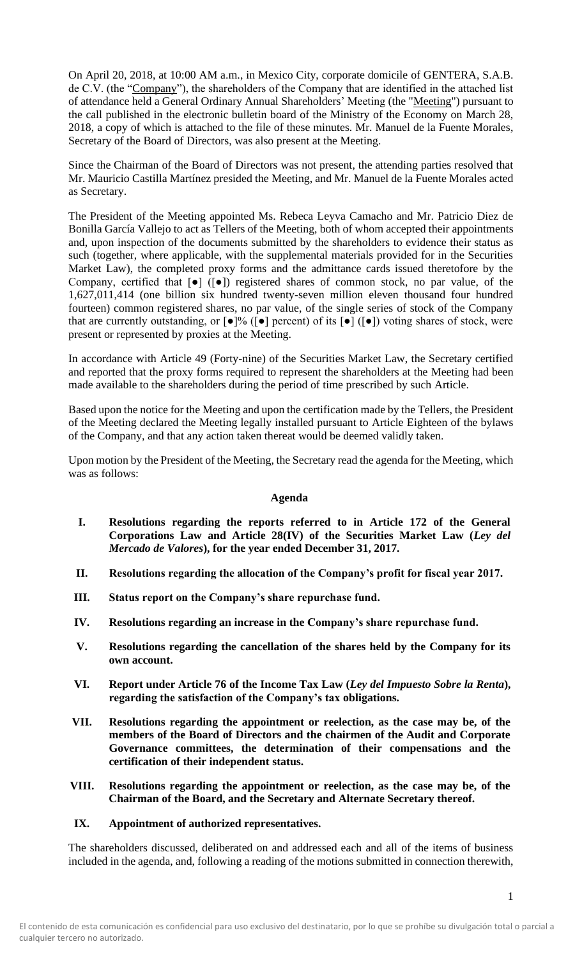On April 20, 2018, at 10:00 AM a.m., in Mexico City, corporate domicile of GENTERA, S.A.B. de C.V. (the "Company"), the shareholders of the Company that are identified in the attached list of attendance held a General Ordinary Annual Shareholders' Meeting (the "Meeting") pursuant to the call published in the electronic bulletin board of the Ministry of the Economy on March 28, 2018, a copy of which is attached to the file of these minutes. Mr. Manuel de la Fuente Morales, Secretary of the Board of Directors, was also present at the Meeting.

Since the Chairman of the Board of Directors was not present, the attending parties resolved that Mr. Mauricio Castilla Martínez presided the Meeting, and Mr. Manuel de la Fuente Morales acted as Secretary.

The President of the Meeting appointed Ms. Rebeca Leyva Camacho and Mr. Patricio Diez de Bonilla García Vallejo to act as Tellers of the Meeting, both of whom accepted their appointments and, upon inspection of the documents submitted by the shareholders to evidence their status as such (together, where applicable, with the supplemental materials provided for in the Securities Market Law), the completed proxy forms and the admittance cards issued theretofore by the Company, certified that [●] ([●]) registered shares of common stock, no par value, of the 1,627,011,414 (one billion six hundred twenty-seven million eleven thousand four hundred fourteen) common registered shares, no par value, of the single series of stock of the Company that are currently outstanding, or  $\lceil \bullet \rceil\%$  ( $\lceil \bullet \rceil$  percent) of its  $\lceil \bullet \rceil$  ( $\lceil \bullet \rceil$ ) voting shares of stock, were present or represented by proxies at the Meeting.

In accordance with Article 49 (Forty-nine) of the Securities Market Law, the Secretary certified and reported that the proxy forms required to represent the shareholders at the Meeting had been made available to the shareholders during the period of time prescribed by such Article.

Based upon the notice for the Meeting and upon the certification made by the Tellers, the President of the Meeting declared the Meeting legally installed pursuant to Article Eighteen of the bylaws of the Company, and that any action taken thereat would be deemed validly taken.

Upon motion by the President of the Meeting, the Secretary read the agenda for the Meeting, which was as follows:

## **Agenda**

- **I. Resolutions regarding the reports referred to in Article 172 of the General Corporations Law and Article 28(IV) of the Securities Market Law (***Ley del Mercado de Valores***), for the year ended December 31, 2017.**
- **II. Resolutions regarding the allocation of the Company's profit for fiscal year 2017.**
- **III. Status report on the Company's share repurchase fund.**
- **IV. Resolutions regarding an increase in the Company's share repurchase fund.**
- **V. Resolutions regarding the cancellation of the shares held by the Company for its own account.**
- **VI. Report under Article 76 of the Income Tax Law (***Ley del Impuesto Sobre la Renta***), regarding the satisfaction of the Company's tax obligations.**
- **VII. Resolutions regarding the appointment or reelection, as the case may be, of the members of the Board of Directors and the chairmen of the Audit and Corporate Governance committees, the determination of their compensations and the certification of their independent status.**
- **VIII. Resolutions regarding the appointment or reelection, as the case may be, of the Chairman of the Board, and the Secretary and Alternate Secretary thereof.**
- **IX. Appointment of authorized representatives.**

The shareholders discussed, deliberated on and addressed each and all of the items of business included in the agenda, and, following a reading of the motions submitted in connection therewith,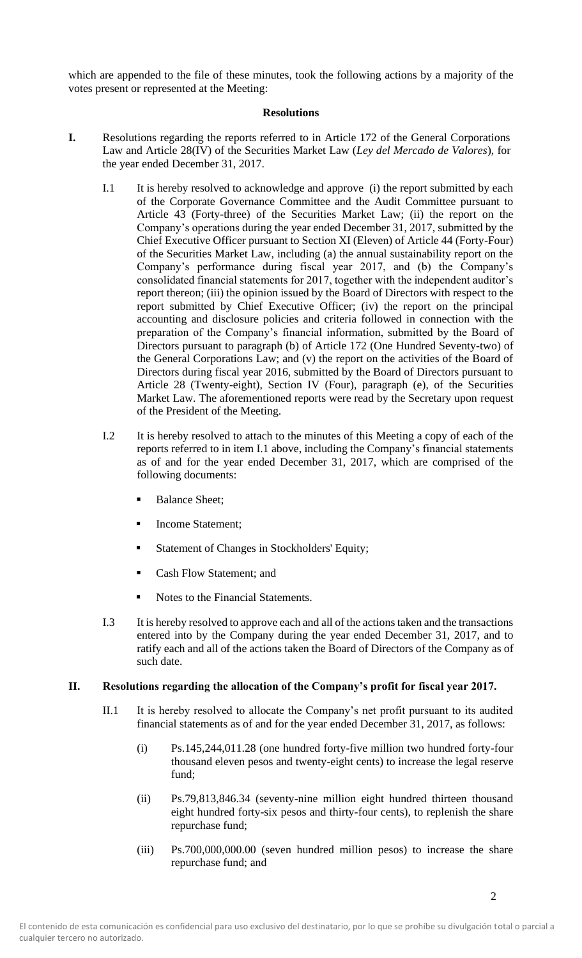which are appended to the file of these minutes, took the following actions by a majority of the votes present or represented at the Meeting:

# **Resolutions**

- **I.** Resolutions regarding the reports referred to in Article 172 of the General Corporations Law and Article 28(IV) of the Securities Market Law (*Ley del Mercado de Valores*), for the year ended December 31, 2017.
	- I.1 It is hereby resolved to acknowledge and approve (i) the report submitted by each of the Corporate Governance Committee and the Audit Committee pursuant to Article 43 (Forty-three) of the Securities Market Law; (ii) the report on the Company's operations during the year ended December 31, 2017, submitted by the Chief Executive Officer pursuant to Section XI (Eleven) of Article 44 (Forty-Four) of the Securities Market Law, including (a) the annual sustainability report on the Company's performance during fiscal year 2017, and (b) the Company's consolidated financial statements for 2017, together with the independent auditor's report thereon; (iii) the opinion issued by the Board of Directors with respect to the report submitted by Chief Executive Officer; (iv) the report on the principal accounting and disclosure policies and criteria followed in connection with the preparation of the Company's financial information, submitted by the Board of Directors pursuant to paragraph (b) of Article 172 (One Hundred Seventy-two) of the General Corporations Law; and (v) the report on the activities of the Board of Directors during fiscal year 2016, submitted by the Board of Directors pursuant to Article 28 (Twenty-eight), Section IV (Four), paragraph (e), of the Securities Market Law. The aforementioned reports were read by the Secretary upon request of the President of the Meeting.
	- I.2 It is hereby resolved to attach to the minutes of this Meeting a copy of each of the reports referred to in item I.1 above, including the Company's financial statements as of and for the year ended December 31, 2017, which are comprised of the following documents:
		- **Balance Sheet:**
		- Income Statement;
		- **Example 1** Statement of Changes in Stockholders' Equity;
		- Cash Flow Statement: and
		- Notes to the Financial Statements.
	- I.3 It is hereby resolved to approve each and all of the actions taken and the transactions entered into by the Company during the year ended December 31, 2017, and to ratify each and all of the actions taken the Board of Directors of the Company as of such date.

## **II. Resolutions regarding the allocation of the Company's profit for fiscal year 2017.**

- II.1 It is hereby resolved to allocate the Company's net profit pursuant to its audited financial statements as of and for the year ended December 31, 2017, as follows:
	- (i) Ps.145,244,011.28 (one hundred forty-five million two hundred forty-four thousand eleven pesos and twenty-eight cents) to increase the legal reserve fund;
	- (ii) Ps.79,813,846.34 (seventy-nine million eight hundred thirteen thousand eight hundred forty-six pesos and thirty-four cents), to replenish the share repurchase fund;
	- (iii) Ps.700,000,000.00 (seven hundred million pesos) to increase the share repurchase fund; and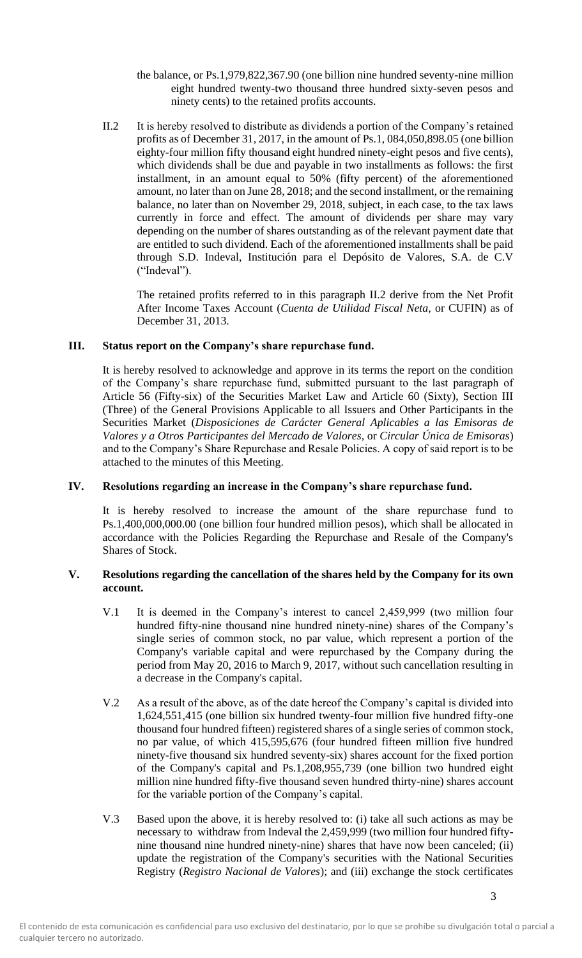- the balance, or Ps.1,979,822,367.90 (one billion nine hundred seventy-nine million eight hundred twenty-two thousand three hundred sixty-seven pesos and ninety cents) to the retained profits accounts.
- II.2 It is hereby resolved to distribute as dividends a portion of the Company's retained profits as of December 31, 2017, in the amount of Ps.1, 084,050,898.05 (one billion eighty-four million fifty thousand eight hundred ninety-eight pesos and five cents), which dividends shall be due and payable in two installments as follows: the first installment, in an amount equal to 50% (fifty percent) of the aforementioned amount, no later than on June 28, 2018; and the second installment, or the remaining balance, no later than on November 29, 2018, subject, in each case, to the tax laws currently in force and effect. The amount of dividends per share may vary depending on the number of shares outstanding as of the relevant payment date that are entitled to such dividend. Each of the aforementioned installments shall be paid through S.D. Indeval, Institución para el Depósito de Valores, S.A. de C.V ("Indeval").

The retained profits referred to in this paragraph II.2 derive from the Net Profit After Income Taxes Account (*Cuenta de Utilidad Fiscal Neta,* or CUFIN) as of December 31, 2013.

# **III. Status report on the Company's share repurchase fund.**

It is hereby resolved to acknowledge and approve in its terms the report on the condition of the Company's share repurchase fund, submitted pursuant to the last paragraph of Article 56 (Fifty-six) of the Securities Market Law and Article 60 (Sixty), Section III (Three) of the General Provisions Applicable to all Issuers and Other Participants in the Securities Market (*Disposiciones de Carácter General Aplicables a las Emisoras de Valores y a Otros Participantes del Mercado de Valores,* or *Circular Única de Emisoras*) and to the Company's Share Repurchase and Resale Policies. A copy of said report is to be attached to the minutes of this Meeting.

#### **IV. Resolutions regarding an increase in the Company's share repurchase fund.**

It is hereby resolved to increase the amount of the share repurchase fund to Ps.1,400,000,000.00 (one billion four hundred million pesos), which shall be allocated in accordance with the Policies Regarding the Repurchase and Resale of the Company's Shares of Stock.

#### **V. Resolutions regarding the cancellation of the shares held by the Company for its own account.**

- V.1 It is deemed in the Company's interest to cancel 2,459,999 (two million four hundred fifty-nine thousand nine hundred ninety-nine) shares of the Company's single series of common stock, no par value, which represent a portion of the Company's variable capital and were repurchased by the Company during the period from May 20, 2016 to March 9, 2017, without such cancellation resulting in a decrease in the Company's capital.
- V.2 As a result of the above, as of the date hereof the Company's capital is divided into 1,624,551,415 (one billion six hundred twenty-four million five hundred fifty-one thousand four hundred fifteen) registered shares of a single series of common stock, no par value, of which 415,595,676 (four hundred fifteen million five hundred ninety-five thousand six hundred seventy-six) shares account for the fixed portion of the Company's capital and Ps.1,208,955,739 (one billion two hundred eight million nine hundred fifty-five thousand seven hundred thirty-nine) shares account for the variable portion of the Company's capital.
- V.3 Based upon the above, it is hereby resolved to: (i) take all such actions as may be necessary to withdraw from Indeval the 2,459,999 (two million four hundred fiftynine thousand nine hundred ninety-nine) shares that have now been canceled; (ii) update the registration of the Company's securities with the National Securities Registry (*Registro Nacional de Valores*); and (iii) exchange the stock certificates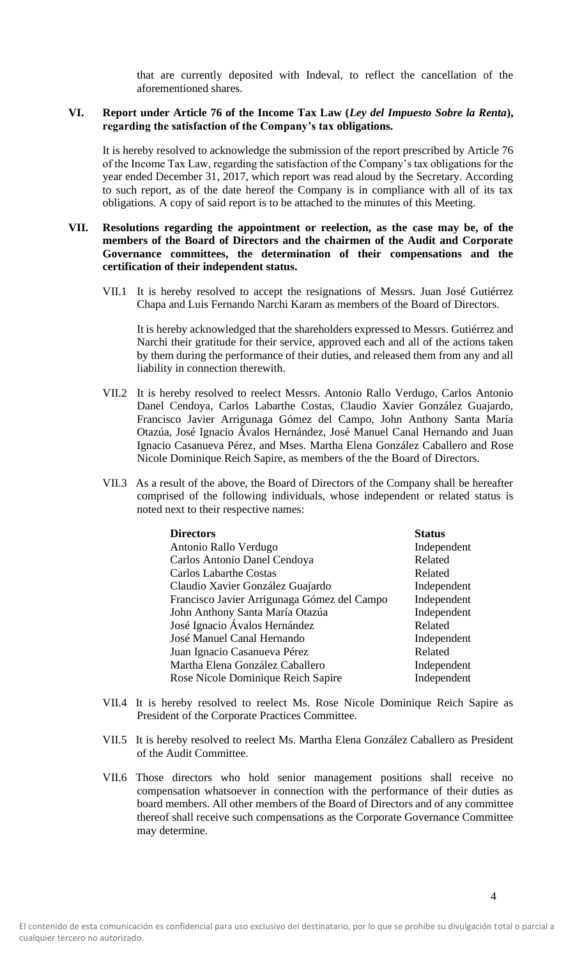that are currently deposited with Indeval, to reflect the cancellation of the aforementioned shares.

### **VI. Report under Article 76 of the Income Tax Law (***Ley del Impuesto Sobre la Renta***), regarding the satisfaction of the Company's tax obligations.**

It is hereby resolved to acknowledge the submission of the report prescribed by Article 76 of the Income Tax Law, regarding the satisfaction of the Company's tax obligations for the year ended December 31, 2017, which report was read aloud by the Secretary. According to such report, as of the date hereof the Company is in compliance with all of its tax obligations. A copy of said report is to be attached to the minutes of this Meeting.

#### **VII. Resolutions regarding the appointment or reelection, as the case may be, of the members of the Board of Directors and the chairmen of the Audit and Corporate Governance committees, the determination of their compensations and the certification of their independent status.**

VII.1 It is hereby resolved to accept the resignations of Messrs. Juan José Gutiérrez Chapa and Luis Fernando Narchi Karam as members of the Board of Directors.

It is hereby acknowledged that the shareholders expressed to Messrs. Gutiérrez and Narchi their gratitude for their service, approved each and all of the actions taken by them during the performance of their duties, and released them from any and all liability in connection therewith.

- VII.2 It is hereby resolved to reelect Messrs. Antonio Rallo Verdugo, Carlos Antonio Danel Cendoya, Carlos Labarthe Costas, Claudio Xavier González Guajardo, Francisco Javier Arrigunaga Gómez del Campo, John Anthony Santa María Otazúa, José Ignacio Ávalos Hernández, José Manuel Canal Hernando and Juan Ignacio Casanueva Pérez, and Mses. Martha Elena González Caballero and Rose Nicole Dominique Reich Sapire, as members of the the Board of Directors.
- VII.3 As a result of the above, the Board of Directors of the Company shall be hereafter comprised of the following individuals, whose independent or related status is noted next to their respective names:

| <b>Directors</b>                            | <b>Status</b> |
|---------------------------------------------|---------------|
| Antonio Rallo Verdugo                       | Independent   |
| Carlos Antonio Danel Cendoya                | Related       |
| <b>Carlos Labarthe Costas</b>               | Related       |
| Claudio Xavier González Guajardo            | Independent   |
| Francisco Javier Arrigunaga Gómez del Campo | Independent   |
| John Anthony Santa María Otazúa             | Independent   |
| José Ignacio Ávalos Hernández               | Related       |
| José Manuel Canal Hernando                  | Independent   |
| Juan Ignacio Casanueva Pérez                | Related       |
| Martha Elena González Caballero             | Independent   |
| Rose Nicole Dominique Reich Sapire          | Independent   |

- VII.4 It is hereby resolved to reelect Ms. Rose Nicole Dominique Reich Sapire as President of the Corporate Practices Committee.
- VII.5 It is hereby resolved to reelect Ms. Martha Elena González Caballero as President of the Audit Committee.
- VII.6 Those directors who hold senior management positions shall receive no compensation whatsoever in connection with the performance of their duties as board members. All other members of the Board of Directors and of any committee thereof shall receive such compensations as the Corporate Governance Committee may determine.